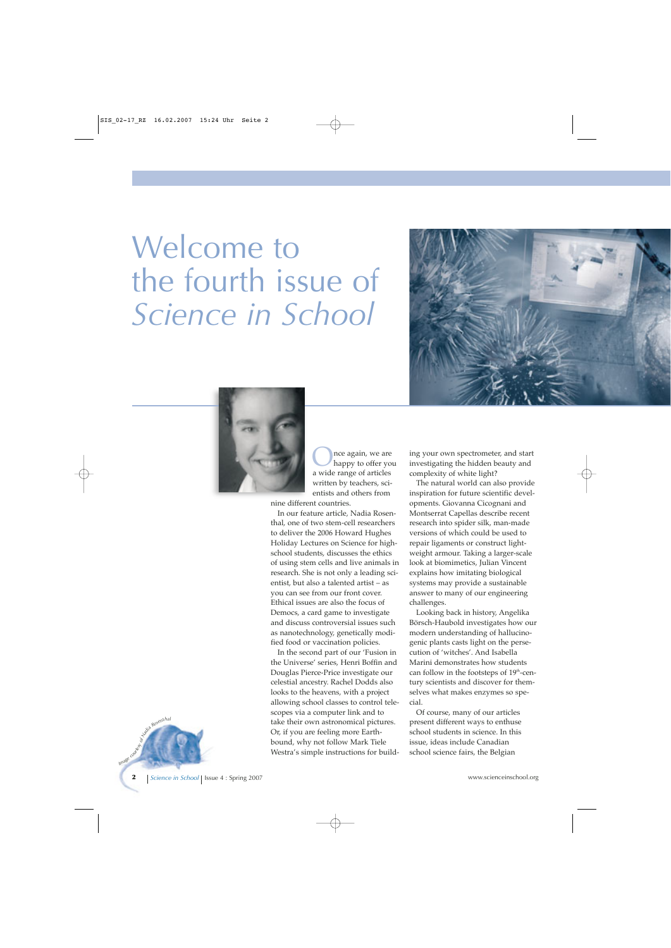## Welcome to the fourth issue of *Science in School*





 $\sum_{\text{happy to offer you}}$ a wide range of articles written by teachers, scientists and others from

nine different countries.

In our feature article, Nadia Rosenthal, one of two stem-cell researchers to deliver the 2006 Howard Hughes Holiday Lectures on Science for highschool students, discusses the ethics of using stem cells and live animals in research. She is not only a leading scientist, but also a talented artist – as you can see from our front cover. Ethical issues are also the focus of Democs, a card game to investigate and discuss controversial issues such as nanotechnology, genetically modified food or vaccination policies.

In the second part of our 'Fusion in the Universe' series, Henri Boffin and Douglas Pierce-Price investigate our celestial ancestry. Rachel Dodds also looks to the heavens, with a project allowing school classes to control telescopes via a computer link and to take their own astronomical pictures. Or, if you are feeling more Earthbound, why not follow Mark Tiele Westra's simple instructions for building your own spectrometer, and start investigating the hidden beauty and complexity of white light?

The natural world can also provide inspiration for future scientific developments. Giovanna Cicognani and Montserrat Capellas describe recent research into spider silk, man-made versions of which could be used to repair ligaments or construct lightweight armour. Taking a larger-scale look at biomimetics, Julian Vincent explains how imitating biological systems may provide a sustainable answer to many of our engineering challenges.

Looking back in history, Angelika Börsch-Haubold investigates how our modern understanding of hallucinogenic plants casts light on the persecution of 'witches'. And Isabella Marini demonstrates how students can follow in the footsteps of 19<sup>th</sup>-century scientists and discover for themselves what makes enzymes so special.

Of course, many of our articles present different ways to enthuse school students in science. In this issue, ideas include Canadian school science fairs, the Belgian